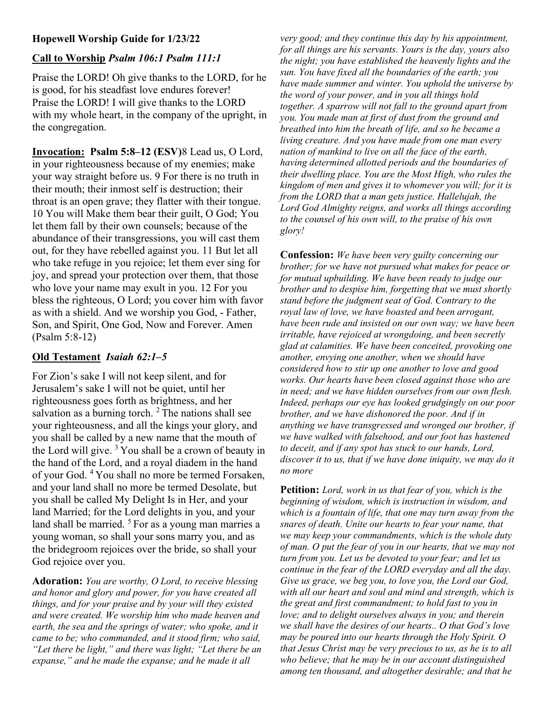# Hopewell Worship Guide for 1/23/22

### Call to Worship Psalm 106:1 Psalm 111:1

Praise the LORD! Oh give thanks to the LORD, for he is good, for his steadfast love endures forever! Praise the LORD! I will give thanks to the LORD with my whole heart, in the company of the upright, in the congregation.

Invocation: Psalm 5:8–12 (ESV)8 Lead us, O Lord, in your righteousness because of my enemies; make your way straight before us. 9 For there is no truth in their mouth; their inmost self is destruction; their throat is an open grave; they flatter with their tongue. 10 You will Make them bear their guilt, O God; You let them fall by their own counsels; because of the abundance of their transgressions, you will cast them out, for they have rebelled against you. 11 But let all who take refuge in you rejoice; let them ever sing for joy, and spread your protection over them, that those who love your name may exult in you. 12 For you bless the righteous, O Lord; you cover him with favor as with a shield. And we worship you God, - Father, Son, and Spirit, One God, Now and Forever. Amen (Psalm 5:8-12)

## Old Testament Isaiah 62:1–5

For Zion's sake I will not keep silent, and for Jerusalem's sake I will not be quiet, until her righteousness goes forth as brightness, and her salvation as a burning torch.  $2$  The nations shall see your righteousness, and all the kings your glory, and you shall be called by a new name that the mouth of the Lord will give.  $3$  You shall be a crown of beauty in the hand of the Lord, and a royal diadem in the hand of your God. <sup>4</sup>You shall no more be termed Forsaken, and your land shall no more be termed Desolate, but you shall be called My Delight Is in Her, and your land Married; for the Lord delights in you, and your land shall be married.  $5F$  For as a young man marries a young woman, so shall your sons marry you, and as the bridegroom rejoices over the bride, so shall your God rejoice over you.

Adoration: You are worthy, O Lord, to receive blessing and honor and glory and power, for you have created all things, and for your praise and by your will they existed and were created. We worship him who made heaven and earth, the sea and the springs of water; who spoke, and it came to be; who commanded, and it stood firm; who said, "Let there be light," and there was light; "Let there be an expanse," and he made the expanse; and he made it all

very good; and they continue this day by his appointment, for all things are his servants. Yours is the day, yours also the night; you have established the heavenly lights and the sun. You have fixed all the boundaries of the earth; you have made summer and winter. You uphold the universe by the word of your power, and in you all things hold together. A sparrow will not fall to the ground apart from you. You made man at first of dust from the ground and breathed into him the breath of life, and so he became a living creature. And you have made from one man every nation of mankind to live on all the face of the earth, having determined allotted periods and the boundaries of their dwelling place. You are the Most High, who rules the kingdom of men and gives it to whomever you will; for it is from the LORD that a man gets justice. Hallelujah, the Lord God Almighty reigns, and works all things according to the counsel of his own will, to the praise of his own glory!

Confession: We have been very guilty concerning our brother; for we have not pursued what makes for peace or for mutual upbuilding. We have been ready to judge our brother and to despise him, forgetting that we must shortly stand before the judgment seat of God. Contrary to the royal law of love, we have boasted and been arrogant, have been rude and insisted on our own way; we have been irritable, have rejoiced at wrongdoing, and been secretly glad at calamities. We have been conceited, provoking one another, envying one another, when we should have considered how to stir up one another to love and good works. Our hearts have been closed against those who are in need; and we have hidden ourselves from our own flesh. Indeed, perhaps our eye has looked grudgingly on our poor brother, and we have dishonored the poor. And if in anything we have transgressed and wronged our brother, if we have walked with falsehood, and our foot has hastened to deceit, and if any spot has stuck to our hands, Lord, discover it to us, that if we have done iniquity, we may do it no more

**Petition:** Lord, work in us that fear of you, which is the beginning of wisdom, which is instruction in wisdom, and which is a fountain of life, that one may turn away from the snares of death. Unite our hearts to fear your name, that we may keep your commandments, which is the whole duty of man. O put the fear of you in our hearts, that we may not turn from you. Let us be devoted to your fear; and let us continue in the fear of the LORD everyday and all the day. Give us grace, we beg you, to love you, the Lord our God, with all our heart and soul and mind and strength, which is the great and first commandment; to hold fast to you in love; and to delight ourselves always in you; and therein we shall have the desires of our hearts.. O that God's love may be poured into our hearts through the Holy Spirit. O that Jesus Christ may be very precious to us, as he is to all who believe; that he may be in our account distinguished among ten thousand, and altogether desirable; and that he